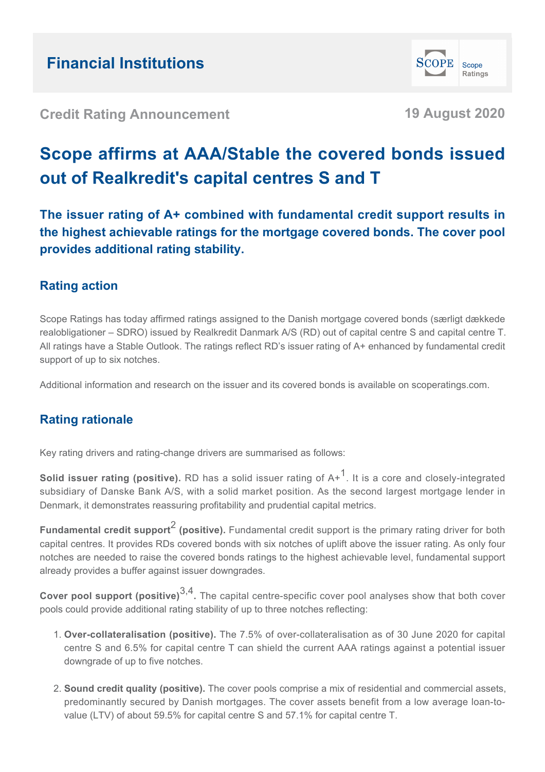**SCOPE** Scope Ratings

**Credit Rating Announcement 19 August 2020**

# **Scope affirms at AAA/Stable the covered bonds issued out of Realkredit's capital centres S and T**

**The issuer rating of A+ combined with fundamental credit support results in the highest achievable ratings for the mortgage covered bonds. The cover pool provides additional rating stability.**

# **Rating action**

Scope Ratings has today affirmed ratings assigned to the Danish mortgage covered bonds (særligt dækkede realobligationer – SDRO) issued by Realkredit Danmark A/S (RD) out of capital centre S and capital centre T. All ratings have a Stable Outlook. The ratings reflect RD's issuer rating of A+ enhanced by fundamental credit support of up to six notches.

Additional information and research on the issuer and its covered bonds is available on scoperatings.com.

# **Rating rationale**

Key rating drivers and rating-change drivers are summarised as follows:

**Solid issuer rating (positive).** RD has a solid issuer rating of A+<sup>1</sup>. It is a core and closely-integrated subsidiary of Danske Bank A/S, with a solid market position. As the second largest mortgage lender in Denmark, it demonstrates reassuring profitability and prudential capital metrics.

**Fundamental credit support<sup>2</sup> (positive).** Fundamental credit support is the primary rating driver for both capital centres. It provides RDs covered bonds with six notches of uplift above the issuer rating. As only four notches are needed to raise the covered bonds ratings to the highest achievable level, fundamental support already provides a buffer against issuer downgrades.

**Cover pool support (positive)**3,4 **.** The capital centre-specific cover pool analyses show that both cover pools could provide additional rating stability of up to three notches reflecting:

- **Over-collateralisation (positive).** The 7.5% of over-collateralisation as of 30 June 2020 for capital 1. centre S and 6.5% for capital centre T can shield the current AAA ratings against a potential issuer downgrade of up to five notches.
- **Sound credit quality (positive).** The cover pools comprise a mix of residential and commercial assets, 2.predominantly secured by Danish mortgages. The cover assets benefit from a low average loan-tovalue (LTV) of about 59.5% for capital centre S and 57.1% for capital centre T.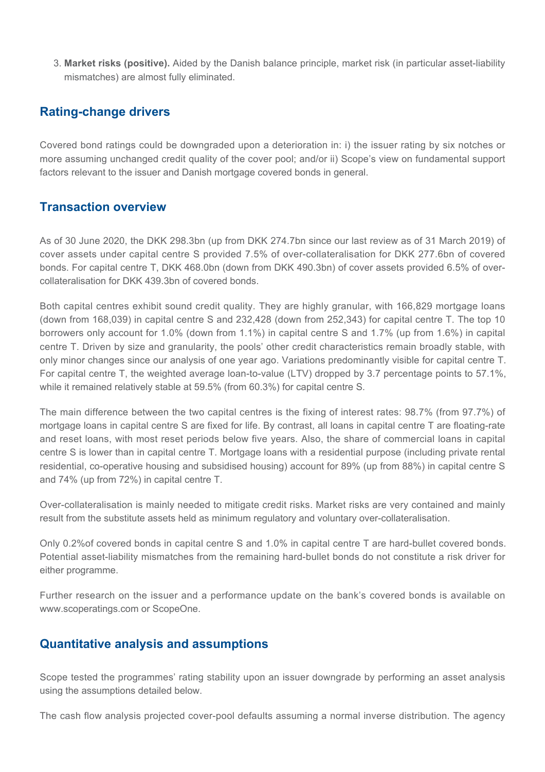**Market risks (positive).** Aided by the Danish balance principle, market risk (in particular asset-liability 3. mismatches) are almost fully eliminated.

## **Rating-change drivers**

Covered bond ratings could be downgraded upon a deterioration in: i) the issuer rating by six notches or more assuming unchanged credit quality of the cover pool; and/or ii) Scope's view on fundamental support factors relevant to the issuer and Danish mortgage covered bonds in general.

# **Transaction overview**

As of 30 June 2020, the DKK 298.3bn (up from DKK 274.7bn since our last review as of 31 March 2019) of cover assets under capital centre S provided 7.5% of over-collateralisation for DKK 277.6bn of covered bonds. For capital centre T, DKK 468.0bn (down from DKK 490.3bn) of cover assets provided 6.5% of overcollateralisation for DKK 439.3bn of covered bonds.

Both capital centres exhibit sound credit quality. They are highly granular, with 166,829 mortgage loans (down from 168,039) in capital centre S and 232,428 (down from 252,343) for capital centre T. The top 10 borrowers only account for 1.0% (down from 1.1%) in capital centre S and 1.7% (up from 1.6%) in capital centre T. Driven by size and granularity, the pools' other credit characteristics remain broadly stable, with only minor changes since our analysis of one year ago. Variations predominantly visible for capital centre T. For capital centre T, the weighted average loan-to-value (LTV) dropped by 3.7 percentage points to 57.1%, while it remained relatively stable at 59.5% (from 60.3%) for capital centre S.

The main difference between the two capital centres is the fixing of interest rates: 98.7% (from 97.7%) of mortgage loans in capital centre S are fixed for life. By contrast, all loans in capital centre T are floating-rate and reset loans, with most reset periods below five years. Also, the share of commercial loans in capital centre S is lower than in capital centre T. Mortgage loans with a residential purpose (including private rental residential, co-operative housing and subsidised housing) account for 89% (up from 88%) in capital centre S and 74% (up from 72%) in capital centre T.

Over-collateralisation is mainly needed to mitigate credit risks. Market risks are very contained and mainly result from the substitute assets held as minimum regulatory and voluntary over-collateralisation.

Only 0.2%of covered bonds in capital centre S and 1.0% in capital centre T are hard-bullet covered bonds. Potential asset-liability mismatches from the remaining hard-bullet bonds do not constitute a risk driver for either programme.

Further research on the issuer and a performance update on the bank's covered bonds is available on www.scoperatings.com or ScopeOne.

### **Quantitative analysis and assumptions**

Scope tested the programmes' rating stability upon an issuer downgrade by performing an asset analysis using the assumptions detailed below.

The cash flow analysis projected cover-pool defaults assuming a normal inverse distribution. The agency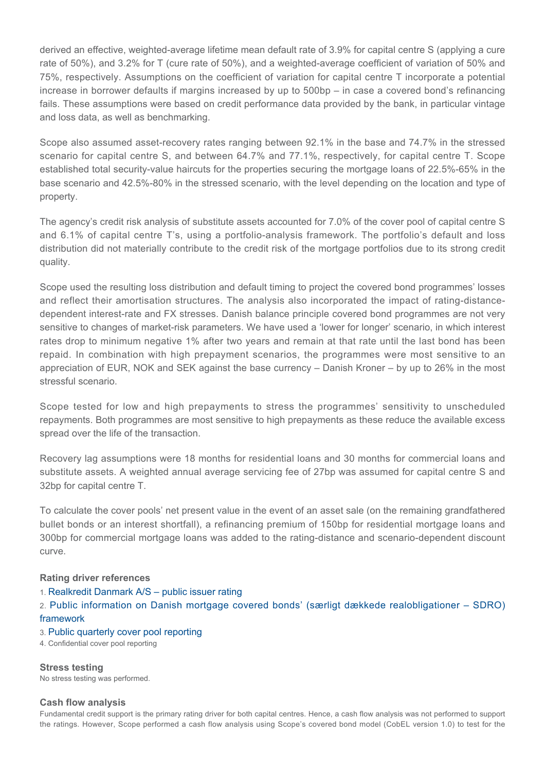derived an effective, weighted-average lifetime mean default rate of 3.9% for capital centre S (applying a cure rate of 50%), and 3.2% for T (cure rate of 50%), and a weighted-average coefficient of variation of 50% and 75%, respectively. Assumptions on the coefficient of variation for capital centre T incorporate a potential increase in borrower defaults if margins increased by up to 500bp – in case a covered bond's refinancing fails. These assumptions were based on credit performance data provided by the bank, in particular vintage and loss data, as well as benchmarking.

Scope also assumed asset-recovery rates ranging between 92.1% in the base and 74.7% in the stressed scenario for capital centre S, and between 64.7% and 77.1%, respectively, for capital centre T. Scope established total security-value haircuts for the properties securing the mortgage loans of 22.5%-65% in the base scenario and 42.5%-80% in the stressed scenario, with the level depending on the location and type of property.

The agency's credit risk analysis of substitute assets accounted for 7.0% of the cover pool of capital centre S and 6.1% of capital centre T's, using a portfolio-analysis framework. The portfolio's default and loss distribution did not materially contribute to the credit risk of the mortgage portfolios due to its strong credit quality.

Scope used the resulting loss distribution and default timing to project the covered bond programmes' losses and reflect their amortisation structures. The analysis also incorporated the impact of rating-distancedependent interest-rate and FX stresses. Danish balance principle covered bond programmes are not very sensitive to changes of market-risk parameters. We have used a 'lower for longer' scenario, in which interest rates drop to minimum negative 1% after two years and remain at that rate until the last bond has been repaid. In combination with high prepayment scenarios, the programmes were most sensitive to an appreciation of EUR, NOK and SEK against the base currency – Danish Kroner – by up to 26% in the most stressful scenario.

Scope tested for low and high prepayments to stress the programmes' sensitivity to unscheduled repayments. Both programmes are most sensitive to high prepayments as these reduce the available excess spread over the life of the transaction.

Recovery lag assumptions were 18 months for residential loans and 30 months for commercial loans and substitute assets. A weighted annual average servicing fee of 27bp was assumed for capital centre S and 32bp for capital centre T.

To calculate the cover pools' net present value in the event of an asset sale (on the remaining grandfathered bullet bonds or an interest shortfall), a refinancing premium of 150bp for residential mortgage loans and 300bp for commercial mortgage loans was added to the rating-distance and scenario-dependent discount curve.

#### **Rating driver references**

- 1. [Realkredit Danmark A/S public issuer rating](https://www.scoperatings.com/#!search/rating/detail/FI0000343212)
- 2. [Public information on Danish mortgage covered bonds' \(særligt dækkede realobligationer SDRO\)](http://financedenmark.dk/) [framework](http://financedenmark.dk/)
- 3. [Public quarterly cover pool reporting](https://www.rd.dk/da-dk/investor/library/ecbc/Pages/default.aspx)
- 4. Confidential cover pool reporting

**Stress testing** No stress testing was performed.

#### **Cash flow analysis**

Fundamental credit support is the primary rating driver for both capital centres. Hence, a cash flow analysis was not performed to support the ratings. However, Scope performed a cash flow analysis using Scope's covered bond model (CobEL version 1.0) to test for the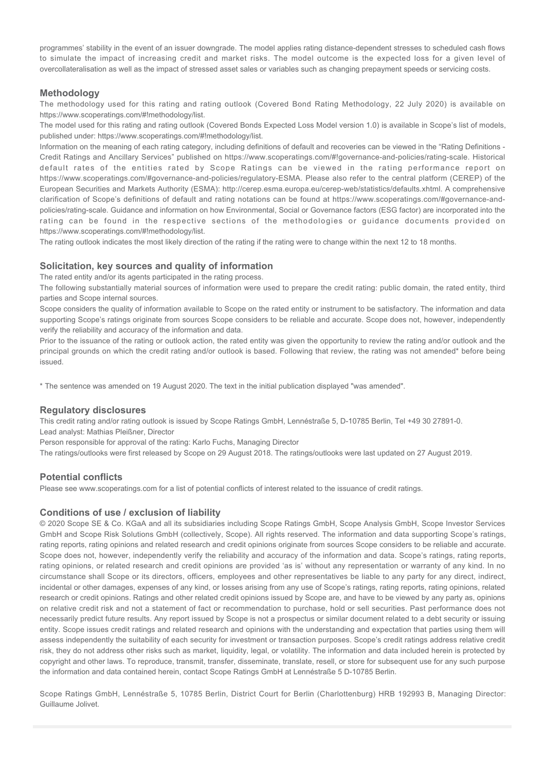programmes' stability in the event of an issuer downgrade. The model applies rating distance-dependent stresses to scheduled cash flows to simulate the impact of increasing credit and market risks. The model outcome is the expected loss for a given level of overcollateralisation as well as the impact of stressed asset sales or variables such as changing prepayment speeds or servicing costs.

#### **Methodology**

The methodology used for this rating and rating outlook (Covered Bond Rating Methodology, 22 July 2020) is available on https://www.scoperatings.com/#!methodology/list.

The model used for this rating and rating outlook (Covered Bonds Expected Loss Model version 1.0) is available in Scope's list of models, published under: https://www.scoperatings.com/#!methodology/list.

Information on the meaning of each rating category, including definitions of default and recoveries can be viewed in the "Rating Definitions - Credit Ratings and Ancillary Services" published on https://www.scoperatings.com/#!governance-and-policies/rating-scale. Historical default rates of the entities rated by Scope Ratings can be viewed in the rating performance report on https://www.scoperatings.com/#governance-and-policies/regulatory-ESMA. Please also refer to the central platform (CEREP) of the European Securities and Markets Authority (ESMA): http://cerep.esma.europa.eu/cerep-web/statistics/defaults.xhtml. A comprehensive clarification of Scope's definitions of default and rating notations can be found at https://www.scoperatings.com/#governance-andpolicies/rating-scale. Guidance and information on how Environmental, Social or Governance factors (ESG factor) are incorporated into the rating can be found in the respective sections of the methodologies or guidance documents provided on https://www.scoperatings.com/#!methodology/list.

The rating outlook indicates the most likely direction of the rating if the rating were to change within the next 12 to 18 months.

#### **Solicitation, key sources and quality of information**

The rated entity and/or its agents participated in the rating process.

The following substantially material sources of information were used to prepare the credit rating: public domain, the rated entity, third parties and Scope internal sources.

Scope considers the quality of information available to Scope on the rated entity or instrument to be satisfactory. The information and data supporting Scope's ratings originate from sources Scope considers to be reliable and accurate. Scope does not, however, independently verify the reliability and accuracy of the information and data.

Prior to the issuance of the rating or outlook action, the rated entity was given the opportunity to review the rating and/or outlook and the principal grounds on which the credit rating and/or outlook is based. Following that review, the rating was not amended\* before being issued.

\* The sentence was amended on 19 August 2020. The text in the initial publication displayed "was amended".

#### **Regulatory disclosures**

This credit rating and/or rating outlook is issued by Scope Ratings GmbH, Lennéstraße 5, D-10785 Berlin, Tel +49 30 27891-0. Lead analyst: Mathias Pleißner, Director

Person responsible for approval of the rating: Karlo Fuchs, Managing Director

The ratings/outlooks were first released by Scope on 29 August 2018. The ratings/outlooks were last updated on 27 August 2019.

#### **Potential conflicts**

Please see www.scoperatings.com for a list of potential conflicts of interest related to the issuance of credit ratings.

#### **Conditions of use / exclusion of liability**

© 2020 Scope SE & Co. KGaA and all its subsidiaries including Scope Ratings GmbH, Scope Analysis GmbH, Scope Investor Services GmbH and Scope Risk Solutions GmbH (collectively, Scope). All rights reserved. The information and data supporting Scope's ratings, rating reports, rating opinions and related research and credit opinions originate from sources Scope considers to be reliable and accurate. Scope does not, however, independently verify the reliability and accuracy of the information and data. Scope's ratings, rating reports, rating opinions, or related research and credit opinions are provided 'as is' without any representation or warranty of any kind. In no circumstance shall Scope or its directors, officers, employees and other representatives be liable to any party for any direct, indirect, incidental or other damages, expenses of any kind, or losses arising from any use of Scope's ratings, rating reports, rating opinions, related research or credit opinions. Ratings and other related credit opinions issued by Scope are, and have to be viewed by any party as, opinions on relative credit risk and not a statement of fact or recommendation to purchase, hold or sell securities. Past performance does not necessarily predict future results. Any report issued by Scope is not a prospectus or similar document related to a debt security or issuing entity. Scope issues credit ratings and related research and opinions with the understanding and expectation that parties using them will assess independently the suitability of each security for investment or transaction purposes. Scope's credit ratings address relative credit risk, they do not address other risks such as market, liquidity, legal, or volatility. The information and data included herein is protected by copyright and other laws. To reproduce, transmit, transfer, disseminate, translate, resell, or store for subsequent use for any such purpose the information and data contained herein, contact Scope Ratings GmbH at Lennéstraße 5 D-10785 Berlin.

Scope Ratings GmbH, Lennéstraße 5, 10785 Berlin, District Court for Berlin (Charlottenburg) HRB 192993 B, Managing Director: Guillaume Jolivet.